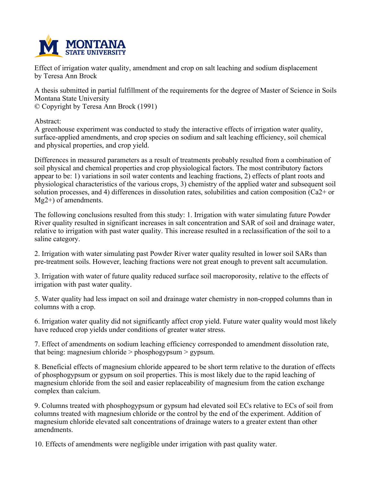

**Effect of irrigation water quality, amendment and crop on salt leaching and sodium displacement by Teresa Ann Brock**

A thesis submitted in partial fulfillment of the requirements for the degree of Master of Science in Soils **Montana State University © Copyright by Teresa Ann Brock (1991)**

**Abstract:**

**A greenhouse experiment was conducted to study the interactive effects of irrigation water quality, surface-applied amendments, and crop species on sodium and salt leaching efficiency, soil chemical and physical properties, and crop yield.**

**Differences in measured parameters as a result of treatments probably resulted from a combination of soil physical and chemical properties and crop physiological factors. The most contributory factors** appear to be: 1) variations in soil water contents and leaching fractions, 2) effects of plant roots and **physiological characteristics of the various crops, 3) chemistry of the applied water and subsequent soil solution processes, and 4) differences in dissolution rates, solubilities and cation composition (Ca2+ or Mg2+) of amendments.**

**The following conclusions resulted from this study: 1. Irrigation with water simulating future Powder River quality resulted in significant increases in salt concentration and SAR of soil and drainage water,** relative to irrigation with past water quality. This increase resulted in a reclassification of the soil to a **saline category.**

**2. Irrigation with water simulating past Powder River water quality resulted in lower soil SARs than pre-treatment soils. However, leaching fractions were not great enough to prevent salt accumulation.**

**3. Irrigation with water of future quality reduced surface soil macroporosity, relative to the effects of irrigation with past water quality.**

**5. Water quality had less impact on soil and drainage water chemistry in non-cropped columns than in columns with a crop.**

**6. Irrigation water quality did not significantly affect crop yield. Future water quality would most likely have reduced crop yields under conditions of greater water stress.**

**7. Effect of amendments on sodium leaching efficiency corresponded to amendment dissolution rate, that being: magnesium chloride > phosphogypsum > gypsum.**

**8. Beneficial effects of magnesium chloride appeared to be short term relative to the duration of effects of phosphogypsum or gypsum on soil properties. This is most likely due to the rapid leaching of magnesium chloride from the soil and easier replaceability of magnesium from the cation exchange complex than calcium.**

**9. Columns treated with phosphogypsum or gypsum had elevated soil ECs relative to ECs of soil from columns treated with magnesium chloride or the control by the end of the experiment. Addition of magnesium chloride elevated salt concentrations of drainage waters to a greater extent than other amendments.**

**10. Effects of amendments were negligible under irrigation with past quality water.**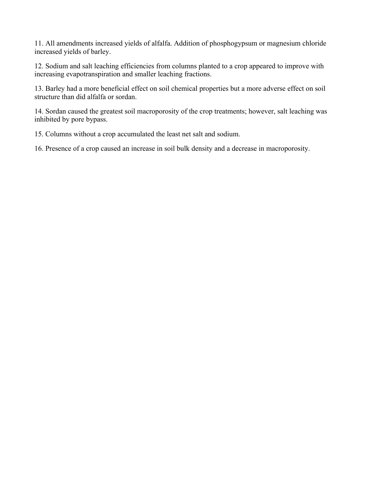**11. All amendments increased yields of alfalfa. Addition of phosphogypsum or magnesium chloride increased yields of barley.**

**12. Sodium and salt leaching efficiencies from columns planted to a crop appeared to improve with increasing evapotranspiration and smaller leaching fractions.**

13. Barley had a more beneficial effect on soil chemical properties but a more adverse effect on soil **structure than did alfalfa or sordan.**

**14. Sordan caused the greatest soil macroporosity of the crop treatments; however, salt leaching was inhibited by pore bypass.**

**15. Columns without a crop accumulated the least net salt and sodium.**

**16. Presence of a crop caused an increase in soil bulk density and a decrease in macroporosity.**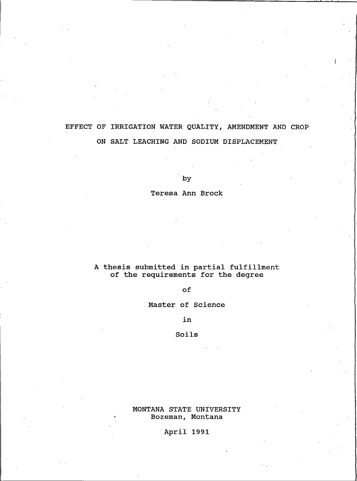## EFFECT OF IRRIGATION WATER QUALITY, AMENDMENT AND CROP ON SALT LEACHING AND SODIUM DISPLACEMENT

by

Teresa Ann Brock

# A thesis submitted in partial fulfillment<br>of the requirements for the degree

of

Master of Science

in

### Soils

MONTANA STATE UNIVERSITY Bozeman, Montana

April 1991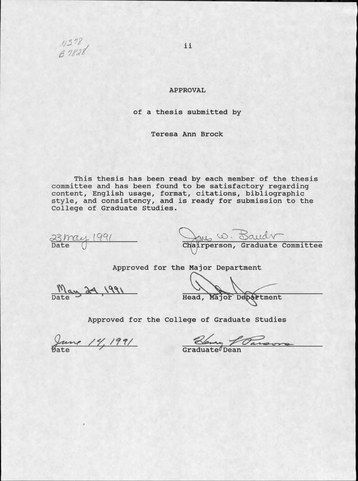

### **APPROVAL**

### of a thesis submitted by

Teresa Ann Brock

This thesis has been read by each member of the thesis<br>committee and has been found to be satisfactory regarding<br>content, English usage, format, citations, bibliographic<br>style, and consistency, and is ready for submission College of Graduate Studies.

 $\frac{23 \text{mag}}{\text{Date}}$  1991

Chairperson, Graduate Committee

Approved for the Major Department

May 24, 1991

Head, Major Department

Approved for the College of Graduate Studies

June 14, 1991

Blowing fouront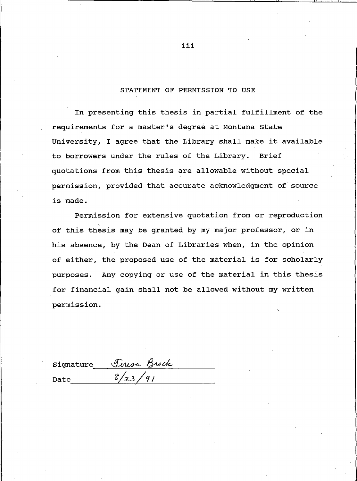### STATEMENT OF PERMISSION TO USE

In presenting this thesis in partial fulfillment of the requirements for a master's degree at Montana State University, I agree that the Library shall make it available to borrowers under the rules of the Library. **Brief** quotations from this thesis are allowable without special permission, provided that accurate acknowledgment of source is made.

Permission for extensive quotation from or reproduction of this thesis may be granted by my major professor, or in his absence, by the Dean of Libraries when, in the opinion of either, the proposed use of the material is for scholarly purposes. Any copying or use of the material in this thesis for financial gain shall not be allowed without my written permission.

|      | signature Peresa Brock |
|------|------------------------|
| Date | 8/23/91                |

iii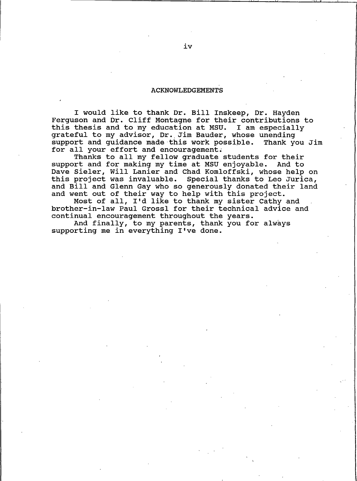#### **ACKNOWLEDGEMENTS**

I would like to thank Dr. Bill Inskeep, Dr. Hayden Ferquson and Dr. Cliff Montagne for their contributions to this thesis and to my education at MSU. I am especially grateful to my advisor, Dr. Jim Bauder, whose unending support and quidance made this work possible. Thank you Jim for all your effort and encouragement.

Thanks to all my fellow graduate students for their support and for making my time at MSU enjoyable. And to Dave Sieler, Will Lanier and Chad Komloffski, whose help on this project was invaluable. Special thanks to Leo Jurica, and Bill and Glenn Gay who so generously donated their land and went out of their way to help with this project.

Most of all, I'd like to thank my sister Cathy and brother-in-law Paul Grossl for their technical advice and continual encouragement throughout the years.

And finally, to my parents, thank you for always supporting me in everything I've done.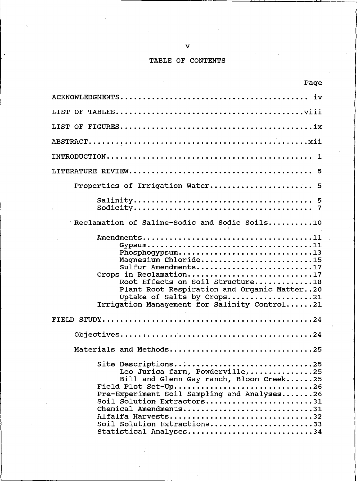### TABLE OF CONTENTS

| Page                                                                                                                                                                                                                                                                                                         |
|--------------------------------------------------------------------------------------------------------------------------------------------------------------------------------------------------------------------------------------------------------------------------------------------------------------|
|                                                                                                                                                                                                                                                                                                              |
|                                                                                                                                                                                                                                                                                                              |
|                                                                                                                                                                                                                                                                                                              |
|                                                                                                                                                                                                                                                                                                              |
|                                                                                                                                                                                                                                                                                                              |
|                                                                                                                                                                                                                                                                                                              |
| Properties of Irrigation Water 5                                                                                                                                                                                                                                                                             |
|                                                                                                                                                                                                                                                                                                              |
| Reclamation of Saline-Sodic and Sodic Soils10                                                                                                                                                                                                                                                                |
| $Gypsum \ldots \ldots \ldots \ldots \ldots \ldots \ldots \ldots \ldots \ldots \ldots \ldots 11$<br>Phosphoqypsum13<br>Magnesium Chloride15<br>Sulfur Amendments17<br>Crops in Reclamation17<br>Root Effects on Soil Structure18<br>Plant Root Respiration and Organic Matter20<br>Uptake of Salts by Crops21 |
| Irrigation Management for Salinity Control21                                                                                                                                                                                                                                                                 |
|                                                                                                                                                                                                                                                                                                              |
|                                                                                                                                                                                                                                                                                                              |
| Materials and Methods25                                                                                                                                                                                                                                                                                      |
| Site Descriptions25<br>Leo Jurica farm, Powderville25<br>Bill and Glenn Gay ranch, Bloom Creek25<br>Field Plot Set-Up26<br>Pre-Experiment Soil Sampling and Analyses26<br>Soil Solution Extractors31<br>Chemical Amendments31<br>Alfalfa Harvests32<br>Soil Solution Extractions33<br>Statistical Analyses34 |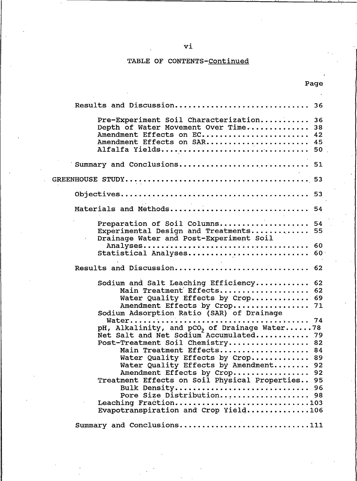### TABLE OF CONTENTS-Continued

Page

| Results and Discussion 36                                                                                                                                                                                                                                                                                                                                                                                                                                              |  |
|------------------------------------------------------------------------------------------------------------------------------------------------------------------------------------------------------------------------------------------------------------------------------------------------------------------------------------------------------------------------------------------------------------------------------------------------------------------------|--|
| Pre-Experiment Soil Characterization<br>36<br>Depth of Water Movement Over Time<br>38<br>Amendment Effects on EC<br>42<br>Amendment Effects on SAR<br>45<br>Alfalfa Yields 50                                                                                                                                                                                                                                                                                          |  |
| Summary and Conclusions 51                                                                                                                                                                                                                                                                                                                                                                                                                                             |  |
|                                                                                                                                                                                                                                                                                                                                                                                                                                                                        |  |
|                                                                                                                                                                                                                                                                                                                                                                                                                                                                        |  |
| Materials and Methods 54                                                                                                                                                                                                                                                                                                                                                                                                                                               |  |
| Preparation of Soil Columns<br>- 54<br>Experimental Design and Treatments 55<br>Drainage Water and Post-Experiment Soil                                                                                                                                                                                                                                                                                                                                                |  |
| 60<br>Statistical Analyses<br>60                                                                                                                                                                                                                                                                                                                                                                                                                                       |  |
| Results and Discussion<br>62                                                                                                                                                                                                                                                                                                                                                                                                                                           |  |
| Sodium and Salt Leaching Efficiency<br>62<br>Main Treatment Effects<br>62<br>Water Quality Effects by Crop 69<br>Amendment Effects by Crop<br>71<br>Sodium Adsorption Ratio (SAR) of Drainage                                                                                                                                                                                                                                                                          |  |
| 74<br>pH, Alkalinity, and pCO <sub>2</sub> of Drainage Water78<br>Net Salt and Net Sodium Accumulated 79<br>Post-Treatment Soil Chemistry<br>82<br>Main Treatment Effects<br>84<br>Water Quality Effects by Crop<br>89<br>Water Quality Effects by Amendment<br>92<br>Amendment Effects by Crop 92<br>Treatment Effects on Soil Physical Properties 95<br>Bulk Density 96<br>Pore Size Distribution 98<br>Leaching Fraction103<br>Evapotranspiration and Crop Yield106 |  |
| Summary and Conclusions.<br>111                                                                                                                                                                                                                                                                                                                                                                                                                                        |  |

vi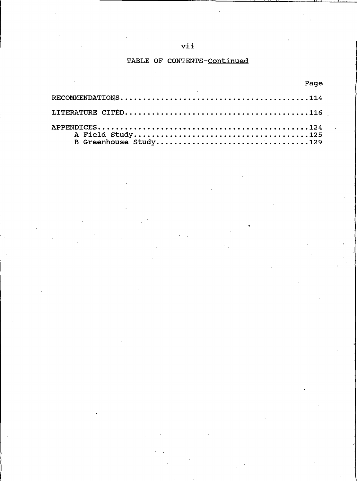### vii

### TABLE OF CONTENTS-Continued

| <u>raque de la componentación de la componentación de la componentación de la componentación de la componentación </u><br>the contract of the contract of the contract of the contract of the contract of |  |
|-----------------------------------------------------------------------------------------------------------------------------------------------------------------------------------------------------------|--|
|                                                                                                                                                                                                           |  |
|                                                                                                                                                                                                           |  |
| ${\tt APPENDICES.}\dots\dots\dots\dots\dots\dots\dots\dots\dots\dots\dots\dots\dots\dots124$<br>B Greenhouse Study129                                                                                     |  |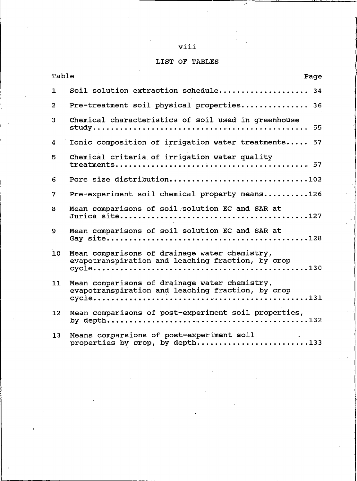### viii

### LIST OF TABLES

| Table<br>Page   |                                                                                                    |
|-----------------|----------------------------------------------------------------------------------------------------|
| $\mathbf{1}$    | Soil solution extraction schedule 34                                                               |
| $\overline{a}$  | Pre-treatment soil physical properties 36                                                          |
| 3               | Chemical characteristics of soil used in greenhouse<br>55                                          |
| 4               | Ionic composition of irrigation water treatments 57                                                |
| 5               | Chemical criteria of irrigation water quality                                                      |
| 6               | Pore size distribution102                                                                          |
| $\overline{7}$  | Pre-experiment soil chemical property means126                                                     |
| 8               | Mean comparisons of soil solution EC and SAR at                                                    |
| 9               | Mean comparisons of soil solution EC and SAR at                                                    |
| 10              | Mean comparisons of drainage water chemistry,<br>evapotranspiration and leaching fraction, by crop |
| 11              | Mean comparisons of drainage water chemistry,<br>evapotranspiration and leaching fraction, by crop |
| 12 <sup>2</sup> | Mean comparisons of post-experiment soil properties,                                               |
| 13              | Means comparsions of post-experiment soil<br>properties by crop, by depth133                       |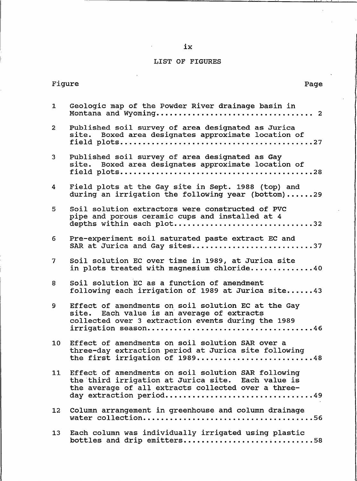### LIST OF FIGURES

|                 | Figure<br>Page                                                                                                                                                                                 |  |
|-----------------|------------------------------------------------------------------------------------------------------------------------------------------------------------------------------------------------|--|
| $\mathbf{1}$    | Geologic map of the Powder River drainage basin in                                                                                                                                             |  |
| $\overline{2}$  | Published soil survey of area designated as Jurica<br>site. Boxed area designates approximate location of                                                                                      |  |
| 3 <sup>1</sup>  | Published soil survey of area designated as Gay<br>site. Boxed area designates approximate location of                                                                                         |  |
| 4               | Field plots at the Gay site in Sept. 1988 (top) and<br>during an irrigation the following year (bottom)29                                                                                      |  |
| 5               | Soil solution extractors were constructed of PVC<br>pipe and porous ceramic cups and installed at 4<br>depths within each plot32                                                               |  |
| 6               | Pre-experiment soil saturated paste extract EC and<br>SAR at Jurica and Gay sites37                                                                                                            |  |
| 7 <sup>7</sup>  | Soil solution EC over time in 1989, at Jurica site<br>in plots treated with magnesium chloride40                                                                                               |  |
| 8               | Soil solution EC as a function of amendment<br>following each irrigation of 1989 at Jurica site43                                                                                              |  |
| 9               | Effect of amendments on soil solution EC at the Gay<br>site. Each value is an average of extracts<br>collected over 3 extraction events during the 1989                                        |  |
| 10 <sub>1</sub> | Effect of amendments on soil solution SAR over a<br>three-day extraction period at Jurica site following<br>the first irrigation of 1989<br>. 48                                               |  |
|                 | 11 Effect of amendments on soil solution SAR following<br>the third irrigation at Jurica site. Each value is<br>the average of all extracts collected over a three-<br>day extraction period49 |  |
| 12 <sup>2</sup> | Column arrangement in greenhouse and column drainage                                                                                                                                           |  |
| 13              | Each column was individually irrigated using plastic<br>bottles and drip emitters58                                                                                                            |  |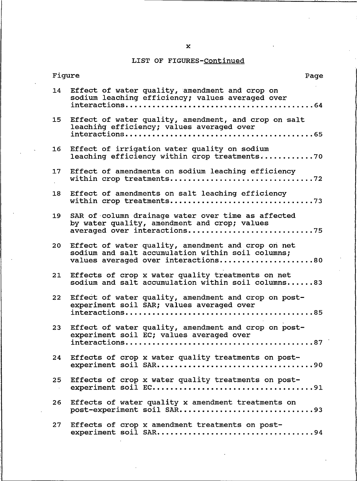### LIST OF FIGURES-Continued

| Figure<br>Page                                                                                                                                       |  |
|------------------------------------------------------------------------------------------------------------------------------------------------------|--|
| Effect of water quality, amendment and crop on<br>14<br>sodium leaching efficiency; values averaged over                                             |  |
| Effect of water quality, amendment, and crop on salt<br>15<br>leaching efficiency; values averaged over                                              |  |
| Effect of irrigation water quality on sodium<br>16<br>leaching efficiency within crop treatments70                                                   |  |
| Effect of amendments on sodium leaching efficiency<br>17                                                                                             |  |
| Effect of amendments on salt leaching efficiency<br>18                                                                                               |  |
| SAR of column drainage water over time as affected<br>19<br>by water quality, amendment and crop; values<br>averaged over interactions75             |  |
| Effect of water quality, amendment and crop on net<br>20<br>sodium and salt accumulation within soil columns;<br>values averaged over interactions80 |  |
| Effects of crop x water quality treatments on net<br>21<br>sodium and salt accumulation within soil columns83                                        |  |
| Effect of water quality, amendment and crop on post-<br>22<br>experiment soil SAR; values averaged over                                              |  |
| Effect of water quality, amendment and crop on post-<br>23<br>experiment soil EC; values averaged over                                               |  |
| Effects of crop x water quality treatments on post-<br>24                                                                                            |  |
| Effects of crop x water quality treatments on post-<br>25 <sub>2</sub>                                                                               |  |
| Effects of water quality x amendment treatments on<br>26                                                                                             |  |
| 27<br>Effects of crop x amendment treatments on post-                                                                                                |  |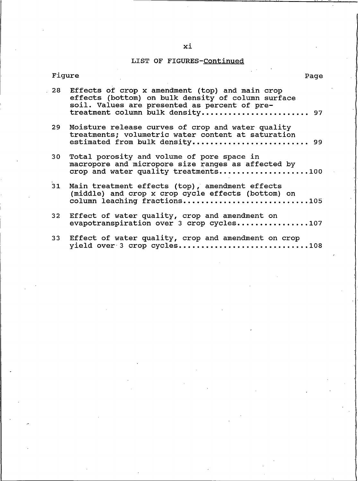### LIST OF FIGURES-Continued

|                 | rıqure<br>Page                                                                                                                                                                                |  |
|-----------------|-----------------------------------------------------------------------------------------------------------------------------------------------------------------------------------------------|--|
|                 | 28 Effects of crop x amendment (top) and main crop<br>effects (bottom) on bulk density of column surface<br>soil. Values are presented as percent of pre-<br>treatment column bulk density 97 |  |
| 29              | Moisture release curves of crop and water quality<br>treatments; volumetric water content at saturation<br>estimated from bulk density 99                                                     |  |
| 30 <sub>1</sub> | Total porosity and volume of pore space in<br>macropore and micropore size ranges as affected by<br>crop and water quality treatments100                                                      |  |
| 31              | Main treatment effects (top), amendment effects<br>(middle) and crop x crop cycle effects (bottom) on<br>column leaching fractions105                                                         |  |
|                 | 32 Effect of water quality, crop and amendment on<br>evapotranspiration over 3 crop cycles107                                                                                                 |  |
|                 | 33 Effect of water quality, crop and amendment on crop<br>yield over 3 crop cycles108                                                                                                         |  |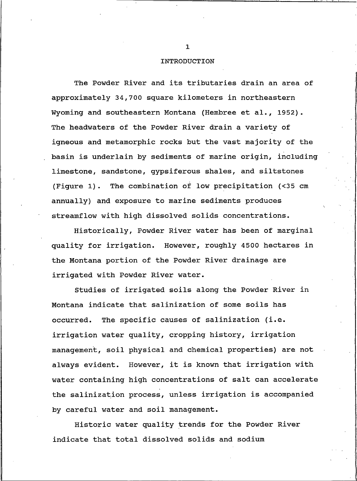#### **INTRODUCTION**

The Powder River and its tributaries drain an area of approximately 34,700 square kilometers in northeastern Wyoming and southeastern Montana (Hembree et al., 1952). The headwaters of the Powder River drain a variety of igneous and metamorphic rocks but the vast majority of the basin is underlain by sediments of marine origin, including limestone, sandstone, gypsiferous shales, and siltstones (Figure 1). The combination of low precipitation (<35 cm annually) and exposure to marine sediments produces streamflow with high dissolved solids concentrations.

Historically, Powder River water has been of marginal quality for irrigation. However, roughly 4500 hectares in the Montana portion of the Powder River drainage are irrigated with Powder River water.

Studies of irrigated soils along the Powder River in Montana indicate that salinization of some soils has occurred. The specific causes of salinization (i.e. irrigation water quality, cropping history, irrigation management, soil physical and chemical properties) are not always evident. However, it is known that irrigation with water containing high concentrations of salt can accelerate the salinization process, unless irrigation is accompanied by careful water and soil management.

Historic water quality trends for the Powder River indicate that total dissolved solids and sodium

 $\mathbf{1}$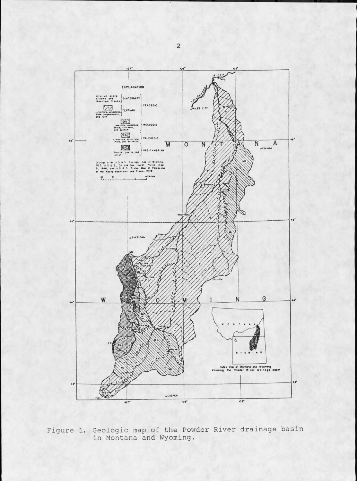

Figure 1. Geologic map of the Powder River drainage basin<br>in Montana and Wyoming.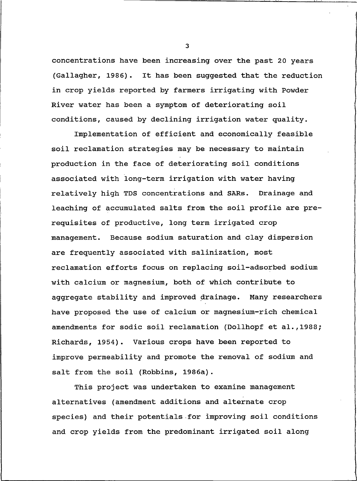concentrations have been increasing over the past 20 years  $(Gallaqher, 1986)$ . It has been suggested that the reduction in crop yields reported by farmers irrigating with Powder River water has been a symptom of deteriorating soil conditions, caused by declining irrigation water quality.

Implementation of efficient and economically feasible soil reclamation strategies may be necessary to maintain production in the face of deteriorating soil conditions associated with long-term irrigation with water having relatively high TDS concentrations and SARs. Drainage and leaching of accumulated salts from the soil profile are prerequisites of productive, long term irrigated crop management. Because sodium saturation and clay dispersion are frequently associated with salinization, most reclamation efforts focus on replacing soil-adsorbed sodium with calcium or magnesium, both of which contribute to aggregate stability and improved drainage. Many researchers have proposed the use of calcium or magnesium-rich chemical amendments for sodic soil reclamation (Dollhopf et al., 1988; Richards, 1954). Various crops have been reported to improve permeability and promote the removal of sodium and salt from the soil (Robbins, 1986a).

This project was undertaken to examine management alternatives (amendment additions and alternate crop species) and their potentials for improving soil conditions and crop yields from the predominant irrigated soil along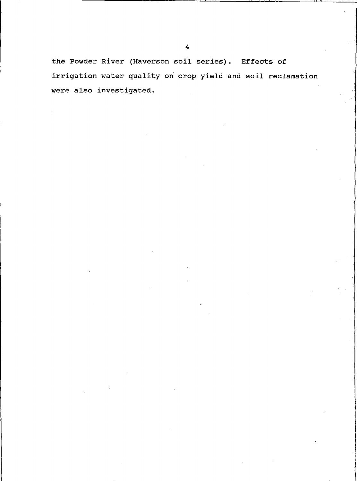the Powder River (Haverson soil series). Effects of irrigation water quality on crop yield and soil reclamation were also investigated.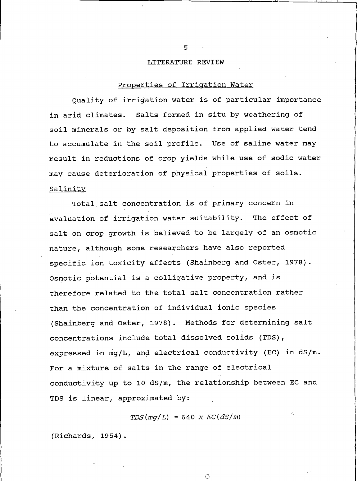#### LITERATURE REVIEW

### Properties of Irrigation Water

Quality of irrigation water is of particular importance in arid climates. Salts formed in situ by weathering of soil minerals or by salt deposition from applied water tend to accumulate in the soil profile. Use of saline water may result in reductions of crop yields while use of sodic water may cause deterioration of physical properties of soils. Salinity

Total salt concentration is of primary concern in evaluation of irrigation water suitability. The effect of salt on crop growth is believed to be largely of an osmotic nature, although some researchers have also reported specific ion toxicity effects (Shainberg and Oster, 1978). Osmotic potential is a colligative property, and is therefore related to the total salt concentration rather than the concentration of individual ionic species (Shainberg and Oster, 1978). Methods for determining salt concentrations include total dissolved solids (TDS), expressed in mg/L, and electrical conductivity (EC) in dS/m. For a mixture of salts in the range of electrical conductivity up to 10 dS/m, the relationship between EC and TDS is linear, approximated by:

 $TDS(mq/L) = 640 \times EC(dS/m)$ 

 $\circ$ 

 $\mathcal{L}^{\mathcal{L}}$ 

(Richards, 1954).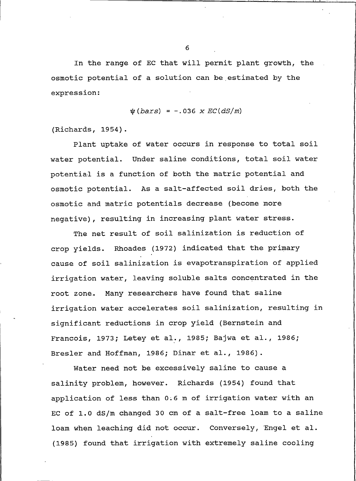In the range of EC that will permit plant growth, the osmotic potential of a solution can be estimated by the expression:

 $\psi(bars) = -.036 \times EC(dS/m)$ 

(Richards, 1954).

Plant uptake of water occurs in response to total soil water potential. Under saline conditions, total soil water potential is a function of both the matric potential and osmotic potential. As a salt-affected soil dries, both the osmotic and matric potentials decrease (become more negative), resulting in increasing plant water stress.

The net result of soil salinization is reduction of crop yields. Rhoades (1972) indicated that the primary cause of soil salinization is evapotranspiration of applied irrigation water, leaving soluble salts concentrated in the root zone. Many researchers have found that saline irrigation water accelerates soil salinization, resulting in significant reductions in crop yield (Bernstein and Francois, 1973; Letey et al., 1985; Bajwa et al., 1986; Bresler and Hoffman, 1986; Dinar et al., 1986).

Water need not be excessively saline to cause a salinity problem, however. Richards (1954) found that application of less than 0.6 m of irrigation water with an EC of 1.0 dS/m changed 30 cm of a salt-free loam to a saline loam when leaching did not occur. Conversely, Engel et al. (1985) found that irrigation with extremely saline cooling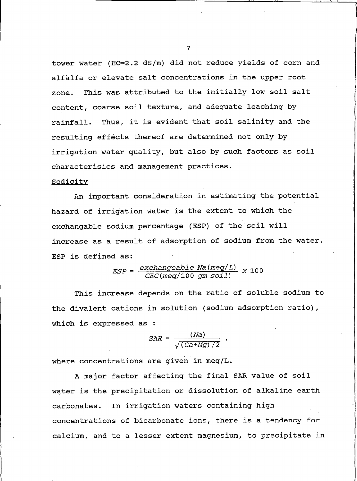tower water (EC=2.2 dS/m) did not reduce yields of corn and alfalfa or elevate salt concentrations in the upper root This was attributed to the initially low soil salt zone. content, coarse soil texture, and adequate leaching by rainfall. Thus, it is evident that soil salinity and the resulting effects thereof are determined not only by irrigation water quality, but also by such factors as soil characterisics and management practices.

#### Sodicity

An important consideration in estimating the potential hazard of irrigation water is the extent to which the exchangable sodium percentage (ESP) of the soil will increase as a result of adsorption of sodium from the water. ESP is defined as:

$$
ESP = \frac{exchangeable \ Na \ (meq/L)}{CEC \ (meq/100 \ gm \ soil \ l)} \ \ x \ 100
$$

This increase depends on the ratio of soluble sodium to the divalent cations in solution (sodium adsorption ratio), which is expressed as :

$$
SAR = \frac{(Na)}{\sqrt{(Ca+Mg)/2}}
$$

where concentrations are given in meq/L.

A major factor affecting the final SAR value of soil water is the precipitation or dissolution of alkaline earth carbonates. In irrigation waters containing high concentrations of bicarbonate ions, there is a tendency for calcium, and to a lesser extent magnesium, to precipitate in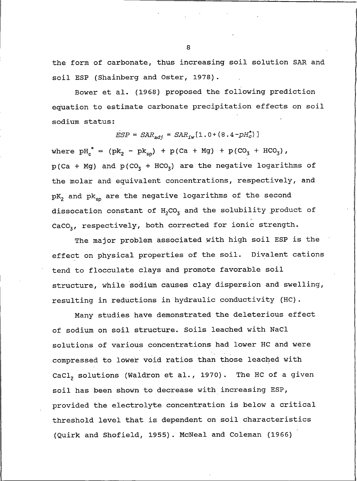the form of carbonate, thus increasing soil solution SAR and soil ESP (Shainberg and Oster, 1978).

Bower et al. (1968) proposed the following prediction equation to estimate carbonate precipitation effects on soil sodium status:

$$
ESP = SAR_{adi} = SAR_{iw}[1.0 + (8.4 - pH_c^*)]
$$

where  $pH_c^* = (pk_2 - pk_{so}) + p(Ca + Mg) + p(CO_3 + HCO_3)$ ,  $p(Ca + Mg)$  and  $p(CO_3 + HCO_3)$  are the negative logarithms of the molar and equivalent concentrations, respectively, and pK<sub>2</sub> and pk<sub>sp</sub> are the negative logarithms of the second dissocation constant of H<sub>2</sub>CO<sub>3</sub> and the solubility product of CaCO<sub>3</sub>, respectively, both corrected for ionic strength.

The major problem associated with high soil ESP is the effect on physical properties of the soil. Divalent cations tend to flocculate clays and promote favorable soil structure, while sodium causes clay dispersion and swelling, resulting in reductions in hydraulic conductivity (HC).

Many studies have demonstrated the deleterious effect of sodium on soil structure. Soils leached with NaCl solutions of various concentrations had lower HC and were compressed to lower void ratios than those leached with CaCl, solutions (Waldron et al., 1970). The HC of a given soil has been shown to decrease with increasing ESP, provided the electrolyte concentration is below a critical threshold level that is dependent on soil characteristics (Quirk and Shofield, 1955). McNeal and Coleman (1966)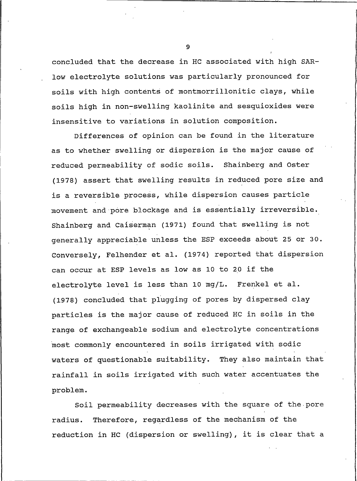concluded that the decrease in HC associated with high SARlow electrolyte solutions was particularly pronounced for soils with high contents of montmorrillonitic clays, while soils high in non-swelling kaolinite and sesquioxides were insensitive to variations in solution composition.

Differences of opinion can be found in the literature as to whether swelling or dispersion is the major cause of reduced permeability of sodic soils. Shainberg and Oster (1978) assert that swelling results in reduced pore size and is a reversible process, while dispersion causes particle movement and pore blockage and is essentially irreversible. Shainberg and Caiserman (1971) found that swelling is not generally appreciable unless the ESP exceeds about 25 or 30. Conversely, Felhender et al. (1974) reported that dispersion can occur at ESP levels as low as 10 to 20 if the electrolyte level is less than 10 mg/L. Frenkel et al. (1978) concluded that plugging of pores by dispersed clay particles is the major cause of reduced HC in soils in the range of exchangeable sodium and electrolyte concentrations most commonly encountered in soils irrigated with sodic waters of questionable suitability. They also maintain that rainfall in soils irrigated with such water accentuates the problem.

Soil permeability decreases with the square of the pore Therefore, regardless of the mechanism of the radius. reduction in HC (dispersion or swelling), it is clear that a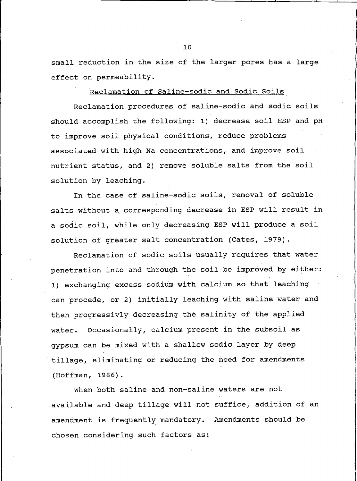small reduction in the size of the larger pores has a large effect on permeability.

Reclamation of Saline-sodic and Sodic Soils

Reclamation procedures of saline-sodic and sodic soils should accomplish the following: 1) decrease soil ESP and pH to improve soil physical conditions, reduce problems associated with high Na concentrations, and improve soil nutrient status, and 2) remove soluble salts from the soil solution by leaching.

In the case of saline-sodic soils, removal of soluble salts without a corresponding decrease in ESP will result in a sodic soil, while only decreasing ESP will produce a soil solution of greater salt concentration (Cates, 1979).

Reclamation of sodic soils usually requires that water penetration into and through the soil be improved by either: 1) exchanging excess sodium with calcium so that leaching can procede, or 2) initially leaching with saline water and then progressivly decreasing the salinity of the applied water. Occasionally, calcium present in the subsoil as gypsum can be mixed with a shallow sodic layer by deep tillage, eliminating or reducing the need for amendments (Hoffman, 1986).

When both saline and non-saline waters are not available and deep tillage will not suffice, addition of an amendment is frequently mandatory. Amendments should be chosen considering such factors as: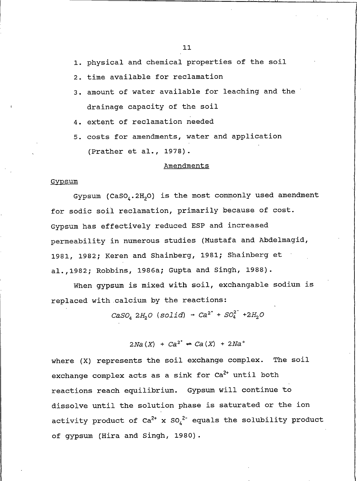1. physical and chemical properties of the soil

- 2. time available for reclamation
- 3. amount of water available for leaching and the drainage capacity of the soil
- 4. extent of reclamation needed
- 5. costs for amendments, water and application (Prather et al., 1978).

#### Amendments

#### Gypsum

Gypsum ( $\text{CaSO}_4$ . 2H<sub>2</sub>O) is the most commonly used amendment for sodic soil reclamation, primarily because of cost. Gypsum has effectively reduced ESP and increased permeability in numerous studies (Mustafa and Abdelmagid, 1981, 1982; Keren and Shainberg, 1981; Shainberg et al., 1982; Robbins, 1986a; Gupta and Singh, 1988).

When gypsum is mixed with soil, exchangable sodium is replaced with calcium by the reactions:

 $CaSO_4$  2H<sub>2</sub>O (solid) -  $Ca^{2^+}$  +  $SO_4^{2^-}$  +2H<sub>2</sub>O

 $2Na(X) + Ca^{2^{+}} \rightarrow Ca(X) + 2Na^{+}$ 

where (X) represents the soil exchange complex. The soil exchange complex acts as a sink for Ca<sup>2+</sup> until both reactions reach equilibrium. Gypsum will continue to dissolve until the solution phase is saturated or the ion activity product of  $Ca^{2+}$  x  $SO_4^{2-}$  equals the solubility product of gypsum (Hira and Singh, 1980).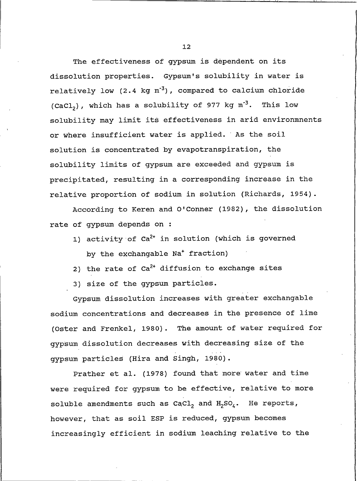The effectiveness of gypsum is dependent on its dissolution properties. Gypsum's solubility in water is relatively low (2.4 kg m<sup>-3</sup>), compared to calcium chloride (CaCl<sub>2</sub>), which has a solubility of 977 kg  $m^{-3}$ . This low solubility may limit its effectiveness in arid environmnents or where insufficient water is applied. As the soil solution is concentrated by evapotranspiration, the solubility limits of gypsum are exceeded and gypsum is precipitated, resulting in a corresponding increase in the relative proportion of sodium in solution (Richards, 1954).

According to Keren and O'Conner (1982), the dissolution rate of gypsum depends on :

- 1) activity of  $Ca^{2+}$  in solution (which is governed by the exchangable Na<sup>+</sup> fraction)
- 2) the rate of  $Ca^{2+}$  diffusion to exchange sites
- 3) size of the gypsum particles.

Gypsum dissolution increases with greater exchangable sodium concentrations and decreases in the presence of lime (Oster and Frenkel, 1980). The amount of water required for gypsum dissolution decreases with decreasing size of the gypsum particles (Hira and Singh, 1980).

Prather et al. (1978) found that more water and time were required for gypsum to be effective, relative to more soluble amendments such as CaCl, and  $H_2SO_k$ . He reports, however, that as soil ESP is reduced, gypsum becomes increasingly efficient in sodium leaching relative to the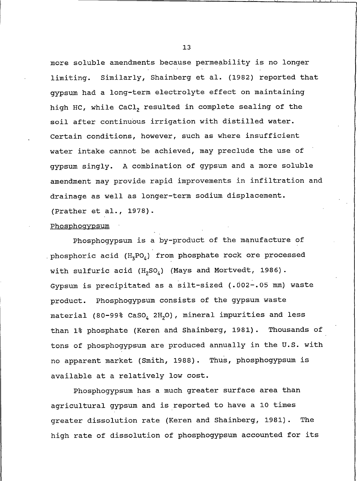more soluble amendments because permeability is no longer limiting. Similarly, Shainberg et al. (1982) reported that gypsum had a long-term electrolyte effect on maintaining high HC, while CaCl, resulted in complete sealing of the soil after continuous irrigation with distilled water. Certain conditions, however, such as where insufficient water intake cannot be achieved, may preclude the use of qypsum singly. A combination of gypsum and a more soluble amendment may provide rapid improvements in infiltration and drainage as well as longer-term sodium displacement. (Prather et al., 1978).

#### Phosphoqypsum

Phosphogypsum is a by-product of the manufacture of phosphoric acid  $(H_xPO_\lambda)$  from phosphate rock ore processed with sulfuric acid  $(H_2SO_4)$  (Mays and Mortvedt, 1986). Gypsum is precipitated as a silt-sized (.002-.05 mm) waste product. Phosphogypsum consists of the gypsum waste material (80-99% CaSO, 2H<sub>2</sub>O), mineral impurities and less than 1% phosphate (Keren and Shainberg, 1981). Thousands of tons of phosphogypsum are produced annually in the U.S. with no apparent market (Smith, 1988). Thus, phosphogypsum is available at a relatively low cost.

Phosphogypsum has a much greater surface area than agricultural gypsum and is reported to have a 10 times greater dissolution rate (Keren and Shainberg, 1981). The high rate of dissolution of phosphogypsum accounted for its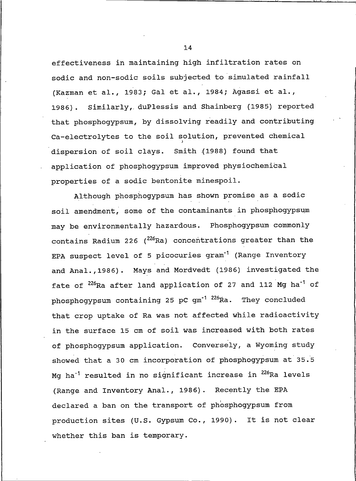effectiveness in maintaining high infiltration rates on sodic and non-sodic soils subjected to simulated rainfall (Kazman et al., 1983; Gal et al., 1984; Agassi et al., 1986). Similarly, duPlessis and Shainberg (1985) reported that phosphogypsum, by dissolving readily and contributing Ca-electrolytes to the soil solution, prevented chemical dispersion of soil clays. Smith (1988) found that application of phosphogypsum improved physiochemical properties of a sodic bentonite minespoil.

Although phosphogypsum has shown promise as a sodic soil amendment, some of the contaminants in phosphogypsum may be environmentally hazardous. Phosphogypsum commonly contains Radium 226 (226Ra) concentrations greater than the EPA suspect level of 5 picocuries gram<sup>-1</sup> (Range Inventory and Anal., 1986). Mays and Mordvedt (1986) investigated the fate of <sup>226</sup>Ra after land application of 27 and 112 Mg ha<sup>-1</sup> of phosphogypsum containing 25 pC gm<sup>-1 226</sup>Ra. They concluded that crop uptake of Ra was not affected while radioactivity in the surface 15 cm of soil was increased with both rates of phosphogypsum application. Conversely, a Wyoming study showed that a 30 cm incorporation of phosphogypsum at 35.5 Mg ha<sup>-1</sup> resulted in no significant increase in <sup>226</sup>Ra levels (Range and Inventory Anal., 1986). Recently the EPA declared a ban on the transport of phosphogypsum from production sites (U.S. Gypsum Co., 1990). It is not clear whether this ban is temporary.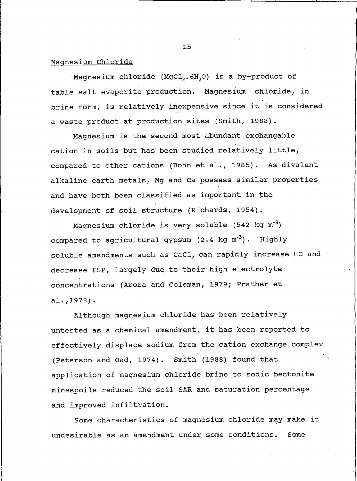### Magnesium Chloride

Magnesium chloride (MgCl<sub>2</sub>.6H<sub>2</sub>O) is a by-product of table salt evaporite production. Magnesium chloride, in brine form, is relatively inexpensive since it is considered a waste product at production sites (Smith, 1988).

Magnesium is the second most abundant exchangable cation in soils but has been studied relatively little, compared to other cations (Bohn et al., 1985). As divalent alkaline earth metals, Mg and Ca possess similar properties and have both been classified as important in the development of soil structure (Richards, 1954).

Magnesium chloride is very soluble (542 kg m<sup>-3</sup>) compared to agricultural gypsum  $(2.4 \text{ kg m}^{-3})$ . Highly soluble amendments such as CaCl, can rapidly increase HC and decrease ESP, largely due to their high electrolyte concentrations (Arora and Coleman, 1979; Prather et  $a1.$ , 1978).

Although magnesium chloride has been relatively untested as a chemical amendment, it has been reported to effectively displace sodium from the cation exchange complex (Peterson and Oad, 1974). Smith (1988) found that application of magnesium chloride brine to sodic bentonite minespoils reduced the soil SAR and saturation percentage and improved infiltration.

Some characteristics of magnesium chloride may make it undesirable as an amendment under some conditions. Some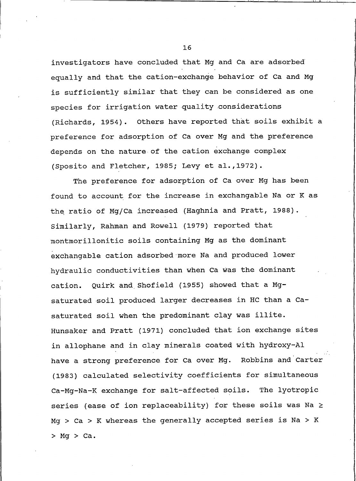investigators have concluded that Mg and Ca are adsorbed equally and that the cation-exchange behavior of Ca and Mg is sufficiently similar that they can be considered as one species for irrigation water quality considerations (Richards, 1954). Others have reported that soils exhibit a preference for adsorption of Ca over Mg and the preference depends on the nature of the cation exchange complex (Sposito and Fletcher, 1985; Levy et al., 1972).

The preference for adsorption of Ca over Mg has been found to account for the increase in exchangable Na or K as the ratio of Mq/Ca increased (Haghnia and Pratt, 1988). Similarly, Rahman and Rowell (1979) reported that montmorillonitic soils containing Mg as the dominant exchangable cation adsorbed more Na and produced lower hydraulic conductivities than when Ca was the dominant Quirk and Shofield (1955) showed that a Mgcation. saturated soil produced larger decreases in HC than a Casaturated soil when the predominant clay was illite. Hunsaker and Pratt (1971) concluded that ion exchange sites in allophane and in clay minerals coated with hydroxy-Al have a strong preference for Ca over Mg. Robbins and Carter (1983) calculated selectivity coefficients for simultaneous Ca-Mg-Na-K exchange for salt-affected soils. The lyotropic series (ease of ion replaceability) for these soils was Na  $\ge$  $Mq > Ca > K$  whereas the generally accepted series is Na > K  $>$  Mg  $>$  Ca.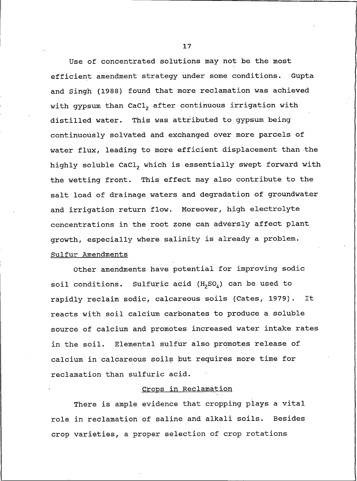Use of concentrated solutions may not be the most efficient amendment strategy under some conditions. Gupta and Singh (1988) found that more reclamation was achieved with gypsum than CaCl, after continuous irrigation with distilled water. This was attributed to gypsum being continuously solvated and exchanged over more parcels of water flux, leading to more efficient displacement than the highly soluble CaCl, which is essentially swept forward with the wetting front. This effect may also contribute to the salt load of drainage waters and degradation of groundwater and irrigation return flow. Moreover, high electrolyte concentrations in the root zone can adversly affect plant growth, especially where salinity is already a problem. Sulfur Amendments

Other amendments have potential for improving sodic Sulfuric acid  $(H_2SO_4)$  can be used to soil conditions. rapidly reclaim sodic, calcareous soils (Cates, 1979). It reacts with soil calcium carbonates to produce a soluble source of calcium and promotes increased water intake rates in the soil. Elemental sulfur also promotes release of calcium in calcareous soils but requires more time for reclamation than sulfuric acid.

### Crops in Reclamation

There is ample evidence that cropping plays a vital role in reclamation of saline and alkali soils. **Besides** crop varieties, a proper selection of crop rotations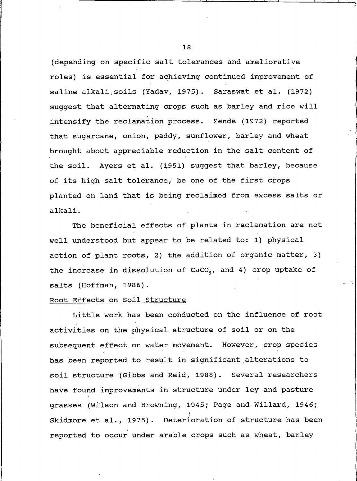(depending on specific salt tolerances and ameliorative roles) is essential for achieving continued improvement of saline alkali soils (Yadav, 1975). Saraswat et al. (1972) suggest that alternating crops such as barley and rice will intensify the reclamation process. Zende (1972) reported that sugarcane, onion, paddy, sunflower, barley and wheat brought about appreciable reduction in the salt content of the soil. Ayers et al. (1951) suggest that barley, because of its high salt tolerance, be one of the first crops planted on land that is being reclaimed from excess salts or alkali.

The beneficial effects of plants in reclamation are not well understood but appear to be related to: 1) physical action of plant roots, 2) the addition of organic matter, 3) the increase in dissolution of  $CACO<sub>3</sub>$ , and 4) crop uptake of salts (Hoffman, 1986).

#### Root Effects on Soil Structure

Little work has been conducted on the influence of root activities on the physical structure of soil or on the subsequent effect on water movement. However, crop species has been reported to result in significant alterations to soil structure (Gibbs and Reid, 1988). Several researchers have found improvements in structure under ley and pasture grasses (Wilson and Browning, 1945; Page and Willard, 1946; Skidmore et al., 1975). Deterioration of structure has been reported to occur under arable crops such as wheat, barley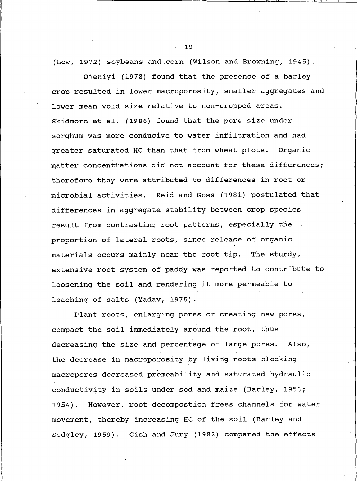(Low, 1972) soybeans and corn (Wilson and Browning, 1945).

Ojeniyi (1978) found that the presence of a barley crop resulted in lower macroporosity, smaller aggregates and lower mean void size relative to non-cropped areas. Skidmore et al. (1986) found that the pore size under sorghum was more conducive to water infiltration and had greater saturated HC than that from wheat plots. Organic matter concentrations did not account for these differences; therefore they were attributed to differences in root or microbial activities. Reid and Goss (1981) postulated that differences in aggregate stability between crop species result from contrasting root patterns, especially the proportion of lateral roots, since release of organic materials occurs mainly near the root tip. The sturdy, extensive root system of paddy was reported to contribute to loosening the soil and rendering it more permeable to leaching of salts (Yadav, 1975).

Plant roots, enlarging pores or creating new pores, compact the soil immediately around the root, thus decreasing the size and percentage of large pores. Also, the decrease in macroporosity by living roots blocking macropores decreased premeability and saturated hydraulic conductivity in soils under sod and maize (Barley, 1953; 1954). However, root decompostion frees channels for water movement, thereby increasing HC of the soil (Barley and Sedgley, 1959). Gish and Jury (1982) compared the effects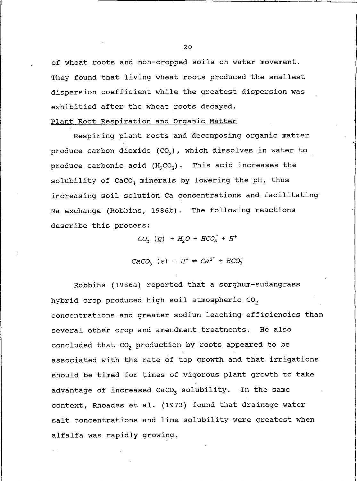of wheat roots and non-cropped soils on water movement. They found that living wheat roots produced the smallest dispersion coefficient while the greatest dispersion was exhibitied after the wheat roots decayed.

### Plant Root Respiration and Organic Matter

Respiring plant roots and decomposing organic matter produce carbon dioxide (CO<sub>2</sub>), which dissolves in water to produce carbonic acid  $(H_2CO_3)$ . This acid increases the solubility of CaCO<sub>z</sub> minerals by lowering the pH, thus increasing soil solution Ca concentrations and facilitating Na exchange (Robbins, 1986b). The following reactions describe this process:

 $CO_2$  (g) +  $H_2O \rightarrow HCO_3^- + H^+$ 

 $CACO<sub>3</sub>$  (s) +  $H<sup>+</sup>$   $\Rightarrow$   $Ca<sup>2+</sup>$  +  $HCO<sub>3</sub>^-$ 

Robbins (1986a) reported that a sorghum-sudangrass hybrid crop produced high soil atmospheric CO<sub>2</sub> concentrations and greater sodium leaching efficiencies than several other crop and amendment treatments. He also concluded that CO<sub>2</sub> production by roots appeared to be associated with the rate of top growth and that irrigations should be timed for times of vigorous plant growth to take advantage of increased CaCO<sub>3</sub> solubility. In the same context, Rhoades et al. (1973) found that drainage water salt concentrations and lime solubility were greatest when alfalfa was rapidly growing.

 $2.0$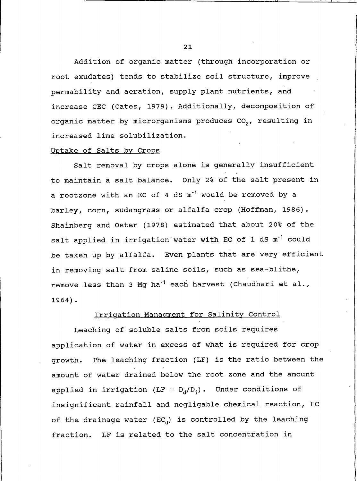Addition of organic matter (through incorporation or root exudates) tends to stabilize soil structure, improve permability and aeration, supply plant nutrients, and increase CEC (Cates, 1979). Additionally, decomposition of organic matter by microrganisms produces CO<sub>2</sub>, resulting in increased lime solubilization.

#### Uptake of Salts by Crops

Salt removal by crops alone is generally insufficient to maintain a salt balance. Only 2% of the salt present in a rootzone with an EC of 4 dS m<sup>-1</sup> would be removed by a barley, corn, sudangrass or alfalfa crop (Hoffman, 1986). Shainberg and Oster (1978) estimated that about 20% of the salt applied in irrigation water with EC of 1 dS m<sup>-1</sup> could be taken up by alfalfa. Even plants that are very efficient in removing salt from saline soils, such as sea-blithe, remove less than 3 Mg ha<sup>-1</sup> each harvest (Chaudhari et al.,  $1964$ ).

### Irrigation Managment for Salinity Control

Leaching of soluble salts from soils requires application of water in excess of what is required for crop The leaching fraction (LF) is the ratio between the growth. amount of water drained below the root zone and the amount applied in irrigation (LF =  $D_d/D_i$ ). Under conditions of insignificant rainfall and negligable chemical reaction, EC of the drainage water ( $EC_{d}$ ) is controlled by the leaching fraction. LF is related to the salt concentration in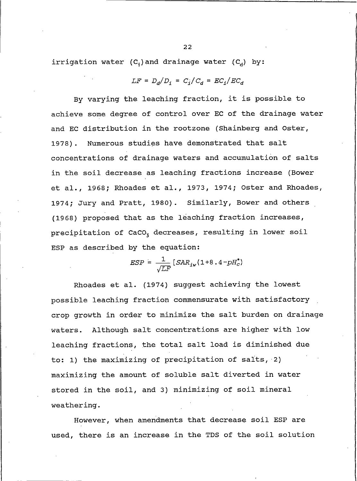irrigation water  $(C_i)$  and drainage water  $(C_i)$  by:

$$
LF = D_d/D_i = C_i/C_d = EC_i/EC_d
$$

By varying the leaching fraction, it is possible to achieve some degree of control over EC of the drainage water and EC distribution in the rootzone (Shainberg and Oster,  $1978$ . Numerous studies have demonstrated that salt concentrations of drainage waters and accumulation of salts in the soil decrease as leaching fractions increase (Bower et al., 1968; Rhoades et al., 1973, 1974; Oster and Rhoades, 1974; Jury and Pratt, 1980). Similarly, Bower and others (1968) proposed that as the leaching fraction increases, precipitation of CaCO<sub>z</sub> decreases, resulting in lower soil ESP as described by the equation:

$$
ESP = \frac{1}{\sqrt{LF}}[SAR_{iw}(1+8.4-pH_c^*)]
$$

Rhoades et al. (1974) suggest achieving the lowest possible leaching fraction commensurate with satisfactory crop growth in order to minimize the salt burden on drainage waters. Although salt concentrations are higher with low leaching fractions, the total salt load is diminished due to: 1) the maximizing of precipitation of salts, 2) maximizing the amount of soluble salt diverted in water stored in the soil, and 3) minimizing of soil mineral weathering.

However, when amendments that decrease soil ESP are used, there is an increase in the TDS of the soil solution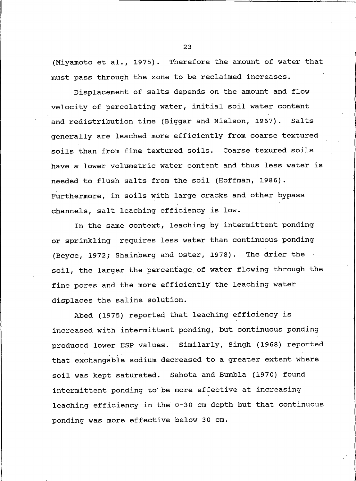(Miyamoto et al., 1975). Therefore the amount of water that must pass through the zone to be reclaimed increases.

Displacement of salts depends on the amount and flow velocity of percolating water, initial soil water content and redistribution time (Biggar and Nielson, 1967). Salts generally are leached more efficiently from coarse textured soils than from fine textured soils. Coarse texured soils have a lower volumetric water content and thus less water is needed to flush salts from the soil (Hoffman, 1986). Furthermore, in soils with large cracks and other bypass channels, salt leaching efficiency is low.

In the same context, leaching by intermittent ponding or sprinkling requires less water than continuous ponding (Beyce, 1972; Shainberg and Oster, 1978). The drier the soil, the larger the percentage of water flowing through the fine pores and the more efficiently the leaching water displaces the saline solution.

Abed (1975) reported that leaching efficiency is increased with intermittent ponding, but continuous ponding produced lower ESP values. Similarly, Singh (1968) reported that exchangable sodium decreased to a greater extent where soil was kept saturated. Sahota and Bumbla (1970) found intermittent ponding to be more effective at increasing leaching efficiency in the 0-30 cm depth but that continuous ponding was more effective below 30 cm.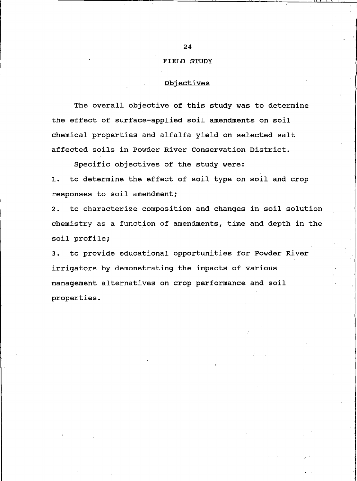#### **FIELD STUDY**

# Objectives

The overall objective of this study was to determine the effect of surface-applied soil amendments on soil chemical properties and alfalfa yield on selected salt affected soils in Powder River Conservation District.

Specific objectives of the study were:

to determine the effect of soil type on soil and crop  $1.$ responses to soil amendment;

to characterize composition and changes in soil solution  $2.$ chemistry as a function of amendments, time and depth in the soil profile;

3. to provide educational opportunities for Powder River irrigators by demonstrating the impacts of various management alternatives on crop performance and soil properties.

24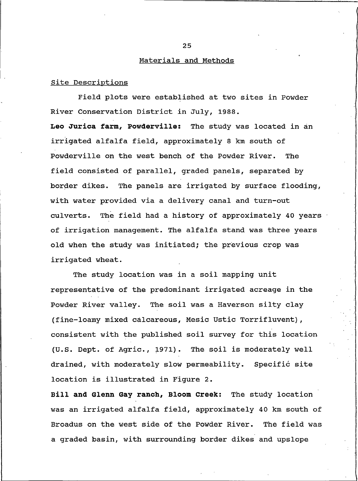#### Materials and Methods

### Site Descriptions

Field plots were established at two sites in Powder River Conservation District in July, 1988. Leo Jurica farm, Powderville: The study was located in an irrigated alfalfa field, approximately 8 km south of Powderville on the west bench of the Powder River. The field consisted of parallel, graded panels, separated by border dikes. The panels are irrigated by surface flooding, with water provided via a delivery canal and turn-out culverts. The field had a history of approximately 40 years of irrigation management. The alfalfa stand was three years old when the study was initiated; the previous crop was irrigated wheat.

The study location was in a soil mapping unit representative of the predominant irrigated acreage in the Powder River valley. The soil was a Haverson silty clay (fine-loamy mixed calcareous, Mesic Ustic Torrifluvent), consistent with the published soil survey for this location The soil is moderately well  $(U.S.$  Dept. of Agric., 1971). drained, with moderately slow permeability. Specific site location is illustrated in Figure 2.

Bill and Glenn Gay ranch, Bloom Creek: The study location was an irrigated alfalfa field, approximately 40 km south of Broadus on the west side of the Powder River. The field was a graded basin, with surrounding border dikes and upslope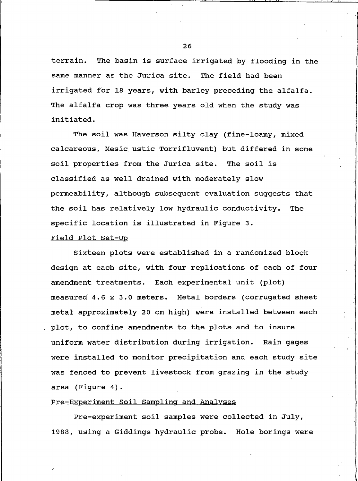terrain. The basin is surface irrigated by flooding in the same manner as the Jurica site. The field had been irrigated for 18 years, with barley preceding the alfalfa. The alfalfa crop was three years old when the study was initiated.

The soil was Haverson silty clay (fine-loamy, mixed calcareous, Mesic ustic Torrifluvent) but differed in some soil properties from the Jurica site. The soil is classified as well drained with moderately slow permeability, although subsequent evaluation suggests that the soil has relatively low hydraulic conductivity. The specific location is illustrated in Figure 3.

### Field Plot Set-Up

Sixteen plots were established in a randomized block design at each site, with four replications of each of four amendment treatments. Each experimental unit (plot) measured 4.6 x 3.0 meters. Metal borders (corrugated sheet metal approximately 20 cm high) were installed between each plot, to confine amendments to the plots and to insure uniform water distribution during irrigation. Rain gages were installed to monitor precipitation and each study site was fenced to prevent livestock from grazing in the study area (Figure 4).

# Pre-Experiment Soil Sampling and Analyses

Pre-experiment soil samples were collected in July, 1988, using a Giddings hydraulic probe. Hole borings were

26